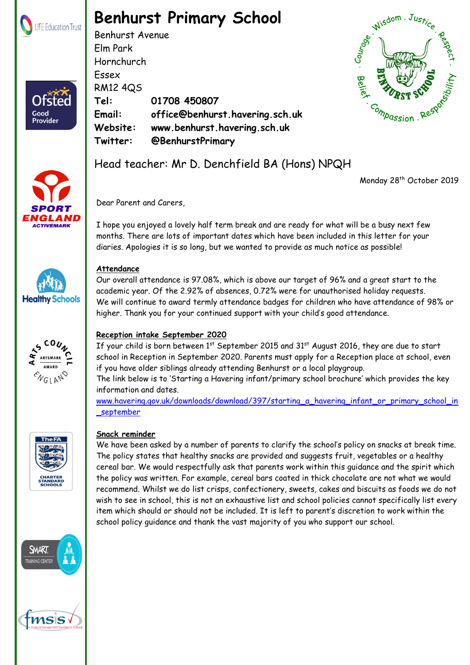

Ofster

Good Provider

# **Benhurst Primary School**

Benhurst Avenue Elm Park Hornchurch Essex RM12 4QS **Tel: 01708 450807 Email: office@benhurst.havering.sch.uk Website: www.benhurst.havering.sch.uk Twitter: @BenhurstPrimary**





## Head teacher: Mr D. Denchfield BA (Hons) NPQH

Monday 28<sup>th</sup> October 2019

Dear Parent and Carers,

I hope you enjoyed a lovely half term break and are ready for what will be a busy next few months. There are lots of important dates which have been included in this letter for your diaries. Apologies it is so long, but we wanted to provide as much notice as possible!





#### **Attendance**

Our overall attendance is 97.08%, which is above our target of 96% and a great start to the academic year. Of the 2.92% of absences, 0.72% were for unauthorised holiday requests. We will continue to award termly attendance badges for children who have attendance of 98% or higher. Thank you for your continued support with your child's good attendance.

#### **Reception intake September 2020**

If your child is born between 1st September 2015 and 31st August 2016, they are due to start school in Reception in September 2020. Parents must apply for a Reception place at school, even if you have older siblings already attending Benhurst or a local playgroup.

The link below is to 'Starting a Havering infant/primary school brochure' which provides the key information and dates.

[www.havering.gov.uk/downloads/download/397/starting\\_a\\_havering\\_infant\\_or\\_primary\\_school\\_in](http://www.havering.gov.uk/downloads/download/397/starting_a_havering_infant_or_primary_school_in_september) [\\_september](http://www.havering.gov.uk/downloads/download/397/starting_a_havering_infant_or_primary_school_in_september)



#### **Snack reminder**

We have been asked by a number of parents to clarify the school's policy on snacks at break time. The policy states that healthy snacks are provided and suggests fruit, vegetables or a healthy cereal bar. We would respectfully ask that parents work within this guidance and the spirit which the policy was written. For example, cereal bars coated in thick chocolate are not what we would recommend. Whilst we do list crisps, confectionery, sweets, cakes and biscuits as foods we do not wish to see in school, this is not an exhaustive list and school policies cannot specifically list every item which should or should not be included. It is left to parent's discretion to work within the school policy guidance and thank the vast majority of you who support our school.



SMART